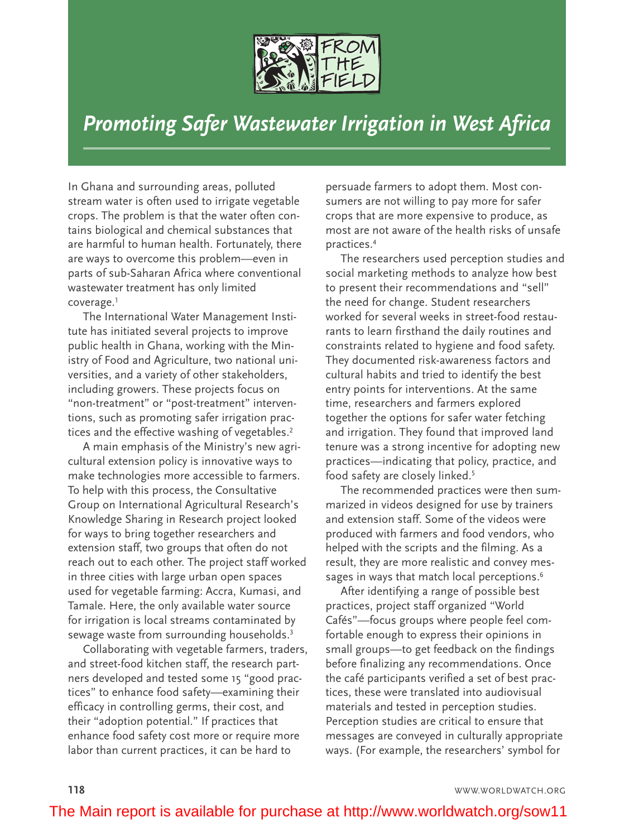

## *Promoting Safer Wastewater Irrigation in West Africa*

In Ghana and surrounding areas, polluted stream water is often used to irrigate vegetable crops. The problem is that the water often contains biological and chemical substances that are harmful to human health. Fortunately, there are ways to overcome this problem—even in parts of sub-Saharan Africa where conventional wastewater treatment has only limited coverage. 1

The International Water Management Institute has initiated several projects to improve public health in Ghana, working with the Ministry of Food and Agriculture, two national universities, and a variety of other stakeholders, including growers. These projects focus on "non-treatment" or "post-treatment" interventions, such as promoting safer irrigation practices and the effective washing of vegetables. 2

A main emphasis of the Ministry's new agricultural extension policy is innovative ways to make technologies more accessible to farmers. To help with this process, the Consultative Group on International Agricultural Research's Knowledge Sharing in Research project looked for ways to bring together researchers and extension staff, two groups that often do not reach out to each other. The project staff worked in three cities with large urban open spaces used for vegetable farming: Accra, Kumasi, and Tamale. Here, the only available water source for irrigation is local streams contaminated by sewage waste from surrounding households.<sup>3</sup>

Collaborating with vegetable farmers, traders, and street-food kitchen staff, the research partners developed and tested some 15 "good practices" to enhance food safety—examining their efficacy in controlling germs, their cost, and their "adoption potential." If practices that enhance food safety cost more or require more labor than current practices, it can be hard to

persuade farmers to adopt them. Most consumers are not willing to pay more for safer crops that are more expensive to produce, as most are not aware of the health risks of unsafe practices. 4

The researchers used perception studies and social marketing methods to analyze how best to present their recommendations and "sell" the need for change. Student researchers worked for several weeks in street-food restaurants to learn firsthand the daily routines and constraints related to hygiene and food safety. They documented risk-awareness factors and cultural habits and tried to identify the best entry points for interventions. At the same time, researchers and farmers explored together the options for safer water fetching and irrigation. They found that improved land tenure was a strong incentive for adopting new practices—indicating that policy, practice, and food safety are closely linked. 5

The recommended practices were then summarized in videos designed for use by trainers and extension staff. Some of the videos were produced with farmers and food vendors, who helped with the scripts and the filming. As a result, they are more realistic and convey messages in ways that match local perceptions.<sup>6</sup>

After identifying a range of possible best practices, project staff organized "World Cafés"—focus groups where people feel comfortable enough to express their opinions in small groups—to get feedback on the findings before finalizing any recommendations. Once the café participants verified a set of best practices, these were translated into audiovisual materials and tested in perception studies. Perception studies are critical to ensure that messages are conveyed in culturally appropriate ways. (For example, the researchers' symbol for

**118** WWW.WORLDWATCH.ORG